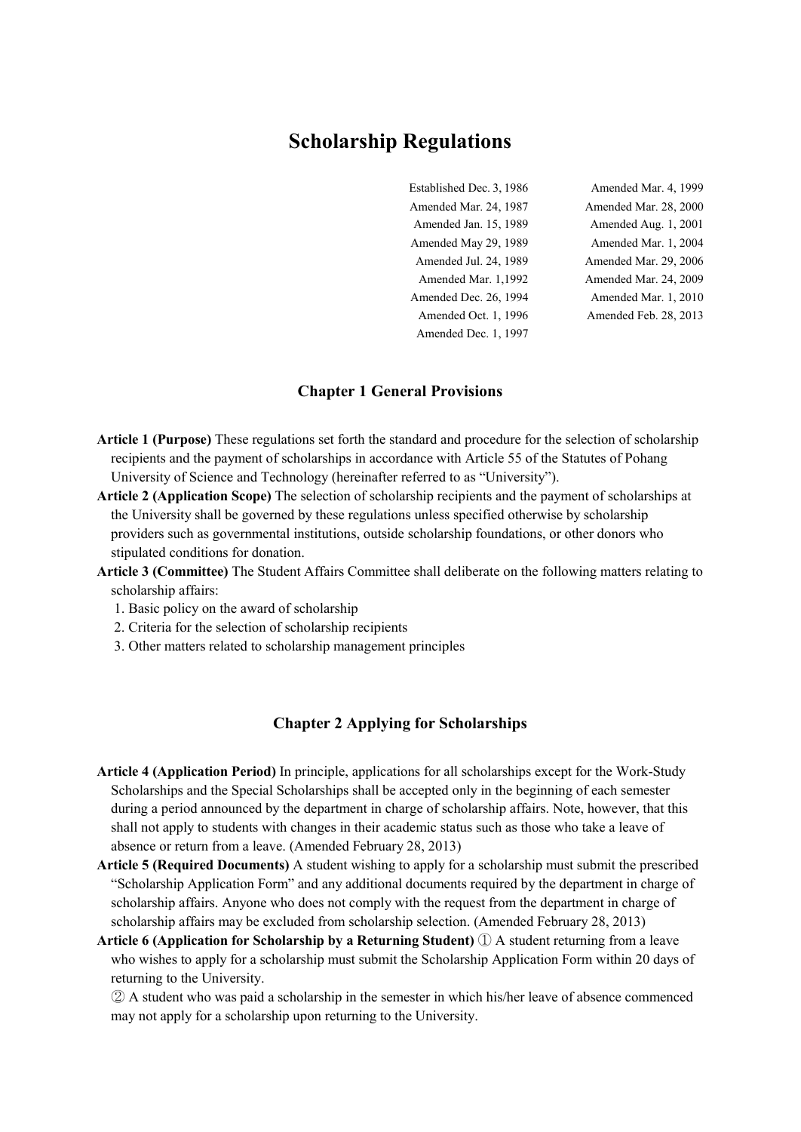# **Scholarship Regulations**

Established Dec. 3, 1986 Amended Mar. 4, 1999 Amended Mar. 24, 1987 Amended Mar. 28, 2000 Amended Jan. 15, 1989 Amended Aug. 1, 2001 Amended May 29, 1989 Amended Mar. 1, 2004 Amended Jul. 24, 1989 Amended Mar. 29, 2006 Amended Mar. 1,1992 Amended Mar. 24, 2009 Amended Dec. 26, 1994 Amended Mar. 1, 2010 Amended Oct. 1, 1996 Amended Feb. 28, 2013 Amended Dec. 1, 1997

#### **Chapter 1 General Provisions**

- **Article 1 (Purpose)** These regulations set forth the standard and procedure for the selection of scholarship recipients and the payment of scholarships in accordance with Article 55 of the Statutes of Pohang University of Science and Technology (hereinafter referred to as "University").
- **Article 2 (Application Scope)** The selection of scholarship recipients and the payment of scholarships at the University shall be governed by these regulations unless specified otherwise by scholarship providers such as governmental institutions, outside scholarship foundations, or other donors who stipulated conditions for donation.
- **Article 3 (Committee)** The Student Affairs Committee shall deliberate on the following matters relating to scholarship affairs:
	- 1. Basic policy on the award of scholarship
	- 2. Criteria for the selection of scholarship recipients
	- 3. Other matters related to scholarship management principles

### **Chapter 2 Applying for Scholarships**

- **Article 4 (Application Period)** In principle, applications for all scholarships except for the Work-Study Scholarships and the Special Scholarships shall be accepted only in the beginning of each semester during a period announced by the department in charge of scholarship affairs. Note, however, that this shall not apply to students with changes in their academic status such as those who take a leave of absence or return from a leave. (Amended February 28, 2013)
- **Article 5 (Required Documents)** A student wishing to apply for a scholarship must submit the prescribed "Scholarship Application Form" and any additional documents required by the department in charge of scholarship affairs. Anyone who does not comply with the request from the department in charge of scholarship affairs may be excluded from scholarship selection. (Amended February 28, 2013)
- **Article 6 (Application for Scholarship by a Returning Student)** ① A student returning from a leave who wishes to apply for a scholarship must submit the Scholarship Application Form within 20 days of returning to the University.

② A student who was paid a scholarship in the semester in which his/her leave of absence commenced may not apply for a scholarship upon returning to the University.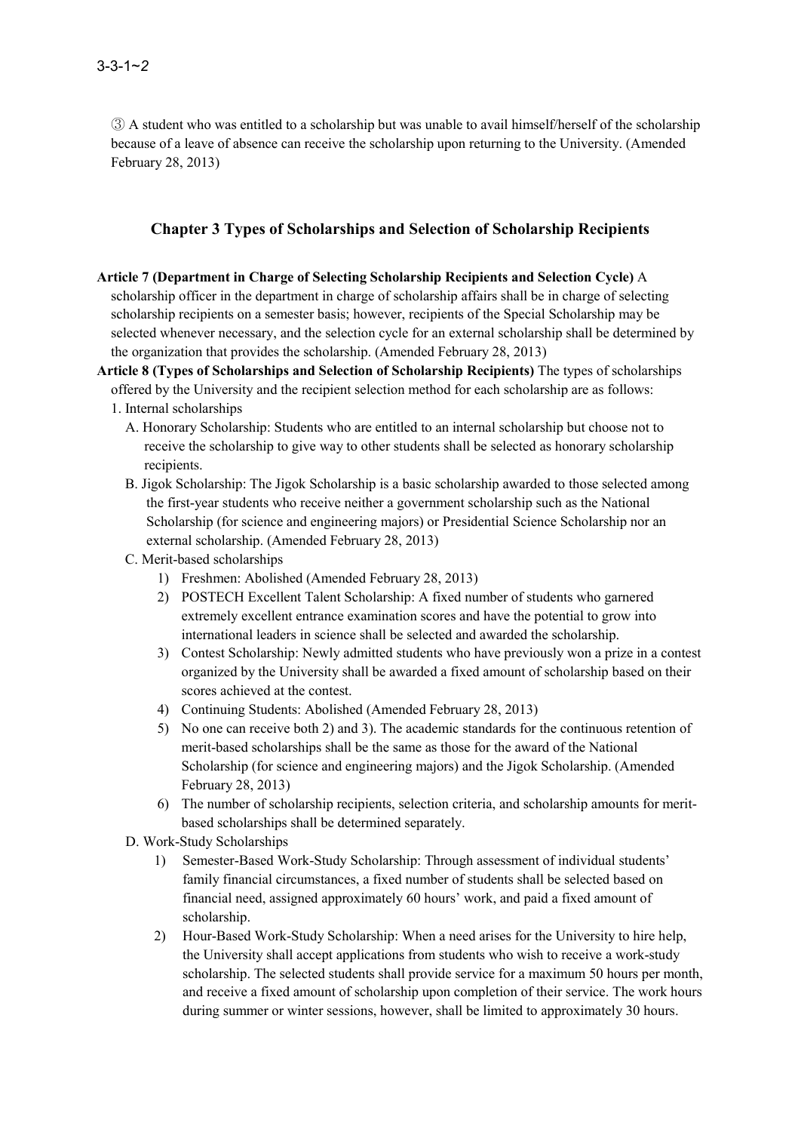③ A student who was entitled to a scholarship but was unable to avail himself/herself of the scholarship because of a leave of absence can receive the scholarship upon returning to the University. (Amended February 28, 2013)

### **Chapter 3 Types of Scholarships and Selection of Scholarship Recipients**

- **Article 7 (Department in Charge of Selecting Scholarship Recipients and Selection Cycle)** A scholarship officer in the department in charge of scholarship affairs shall be in charge of selecting scholarship recipients on a semester basis; however, recipients of the Special Scholarship may be selected whenever necessary, and the selection cycle for an external scholarship shall be determined by the organization that provides the scholarship. (Amended February 28, 2013)
- **Article 8 (Types of Scholarships and Selection of Scholarship Recipients)** The types of scholarships offered by the University and the recipient selection method for each scholarship are as follows:
	- 1. Internal scholarships
		- A. Honorary Scholarship: Students who are entitled to an internal scholarship but choose not to receive the scholarship to give way to other students shall be selected as honorary scholarship recipients.
		- B. Jigok Scholarship: The Jigok Scholarship is a basic scholarship awarded to those selected among the first-year students who receive neither a government scholarship such as the National Scholarship (for science and engineering majors) or Presidential Science Scholarship nor an external scholarship. (Amended February 28, 2013)
		- C. Merit-based scholarships
			- 1) Freshmen: Abolished (Amended February 28, 2013)
			- 2) POSTECH Excellent Talent Scholarship: A fixed number of students who garnered extremely excellent entrance examination scores and have the potential to grow into international leaders in science shall be selected and awarded the scholarship.
			- 3) Contest Scholarship: Newly admitted students who have previously won a prize in a contest organized by the University shall be awarded a fixed amount of scholarship based on their scores achieved at the contest.
			- 4) Continuing Students: Abolished (Amended February 28, 2013)
			- 5) No one can receive both 2) and 3). The academic standards for the continuous retention of merit-based scholarships shall be the same as those for the award of the National Scholarship (for science and engineering majors) and the Jigok Scholarship. (Amended February 28, 2013)
			- 6) The number of scholarship recipients, selection criteria, and scholarship amounts for merit based scholarships shall be determined separately.
		- D. Work-Study Scholarships
			- 1) Semester-Based Work-Study Scholarship: Through assessment of individual students' family financial circumstances, a fixed number of students shall be selected based on financial need, assigned approximately 60 hours' work, and paid a fixed amount of scholarship.
			- 2) Hour-Based Work-Study Scholarship: When a need arises for the University to hire help, the University shall accept applications from students who wish to receive a work-study scholarship. The selected students shall provide service for a maximum 50 hours per month, and receive a fixed amount of scholarship upon completion of their service. The work hours during summer or winter sessions, however, shall be limited to approximately 30 hours.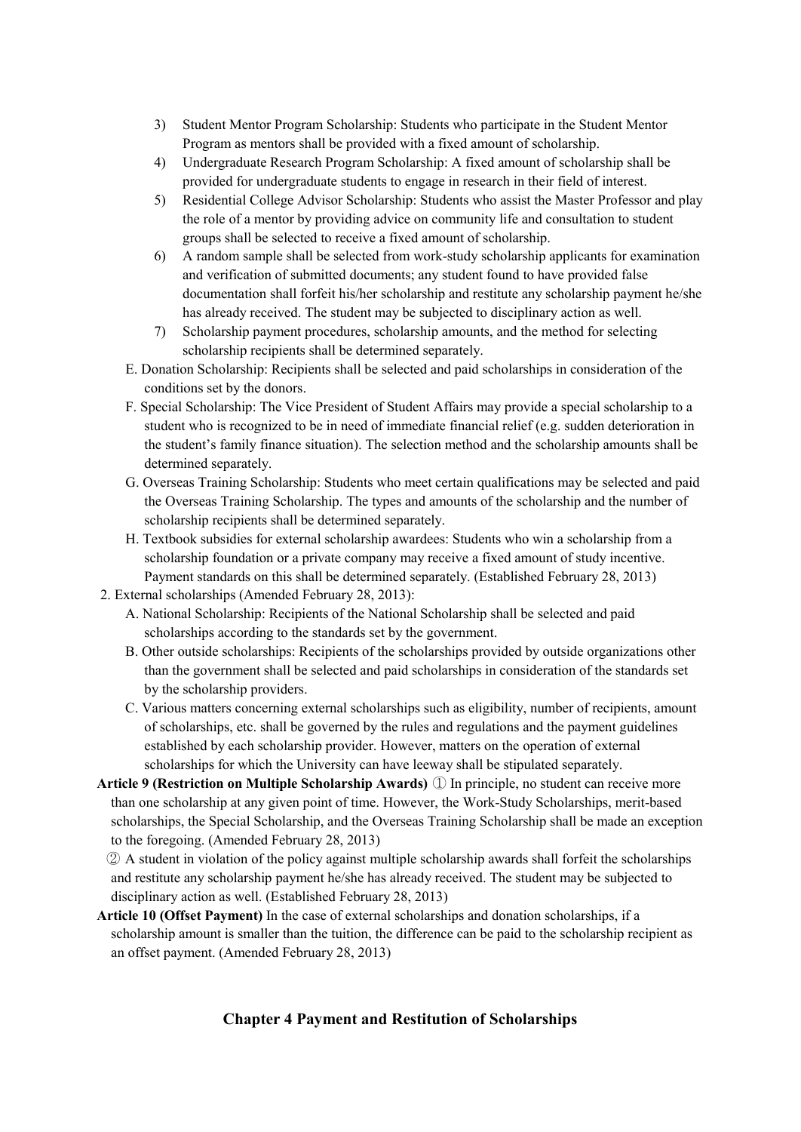- 3) Student Mentor Program Scholarship: Students who participate in the Student Mentor Program as mentors shall be provided with a fixed amount of scholarship.
- 4) Undergraduate Research Program Scholarship: A fixed amount of scholarship shall be
- provided for undergraduate students to engage in research in their field of interest.<br>5) Residential College Advisor Scholarship: Students who assist the Master Professor and play the role of a mentor by providing advice on community life and consultation to student groups shall be selected to receive a fixed amount of scholarship.
- 6) A random sample shall be selected from work-study scholarship applicants for examination and verification of submitted documents; any student found to have provided false documentation shall forfeit his/her scholarship and restitute any scholarship payment he/she has already received. The student may be subjected to disciplinary action as well.
- 7) Scholarship payment procedures, scholarship amounts, and the method for selecting scholarship recipients shall be determined separately.
- E. Donation Scholarship: Recipients shall be selected and paid scholarships in consideration of the conditions set by the donors.
- F. Special Scholarship: The Vice President of Student Affairs may provide a special scholarship to a student who is recognized to be in need of immediate financial relief (e.g. sudden deterioration in the student's family finance situation). The selection method and the scholarship amounts shall be determined separately.
- G. Overseas Training Scholarship: Students who meet certain qualifications may be selected and paid the Overseas Training Scholarship. The types and amounts of the scholarship and the number of scholarship recipients shall be determined separately.
- H. Textbook subsidies for external scholarship awardees: Students who win a scholarship from a scholarship foundation or a private company may receive a fixed amount of study incentive. Payment standards on this shall be determined separately. (Established February 28, 2013)
- 2. External scholarships (Amended February 28, 2013):
	- A. National Scholarship: Recipients of the National Scholarship shall be selected and paid scholarships according to the standards set by the government.
	- B. Other outside scholarships: Recipients of the scholarships provided by outside organizations other than the government shall be selected and paid scholarships in consideration of the standards set by the scholarship providers.
	- C. Various matters concerning external scholarships such as eligibility, number of recipients, amount of scholarships, etc. shall be governed by the rules and regulations and the payment guidelines established by each scholarship provider. However, matters on the operation of external scholarships for which the University can have leeway shall be stipulated separately.
- **Article 9 (Restriction on Multiple Scholarship Awards)** ① In principle, no student can receive more than one scholarship at any given point of time. However, the Work-Study Scholarships, merit-based scholarships, the Special Scholarship, and the Overseas Training Scholarship shall be made an exception to the foregoing. (Amended February 28, 2013)
	- ② A student in violation of the policy against multiple scholarship awards shall forfeit the scholarships and restitute any scholarship payment he/she has already received. The student may be subjected to disciplinary action as well. (Established February 28, 2013)
- **Article 10 (Offset Payment)** In the case of external scholarships and donation scholarships, if a scholarship amount is smaller than the tuition, the difference can be paid to the scholarship recipient as an offset payment. (Amended February 28, 2013)

# **Chapter 4 Payment and Restitution of Scholarships**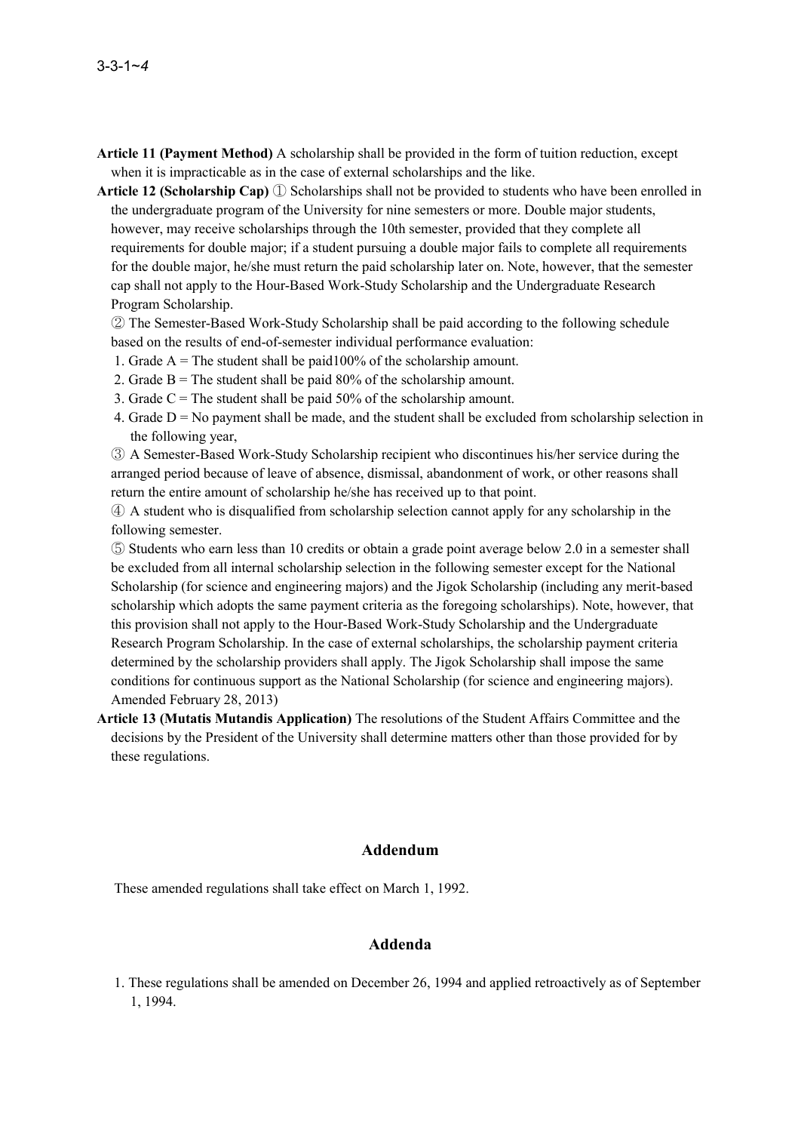- **Article 11 (Payment Method)** A scholarship shall be provided in the form of tuition reduction, except when it is impracticable as in the case of external scholarships and the like.
- **Article 12 (Scholarship Cap)** ① Scholarships shall not be provided to students who have been enrolled in the undergraduate program of the University for nine semesters or more. Double major students, however, may receive scholarships through the 10th semester, provided that they complete all requirements for double major; if a student pursuing a double major fails to complete all requirements for the double major, he/she must return the paid scholarship later on. Note, however, that the semester cap shall not apply to the Hour-Based Work-Study Scholarship and the Undergraduate Research Program Scholarship.

② The Semester-Based Work-Study Scholarship shall be paid according to the following schedule based on the results of end-of-semester individual performance evaluation:

- 1. Grade  $A =$ The student shall be paid 100% of the scholarship amount.
- 2. Grade  $B =$ The student shall be paid 80% of the scholarship amount.
- 3. Grade  $C =$  The student shall be paid 50% of the scholarship amount.
- 4. Grade  $D = No$  payment shall be made, and the student shall be excluded from scholarship selection in the following year,

③ A Semester-Based Work-Study Scholarship recipient who discontinues his/her service during the arranged period because of leave of absence, dismissal, abandonment of work, or other reasons shall return the entire amount of scholarship he/she has received up to that point.

④ A student who is disqualified from scholarship selection cannot apply for any scholarship in the following semester.

- ⑤ Students who earn less than 10 credits or obtain a grade point average below 2.0 in a semester shall be excluded from all internal scholarship selection in the following semester except for the National Scholarship (for science and engineering majors) and the Jigok Scholarship (including any merit-based scholarship which adopts the same payment criteria as the foregoing scholarships). Note, however, that this provision shall not apply to the Hour-Based Work-Study Scholarship and the Undergraduate Research Program Scholarship. In the case of external scholarships, the scholarship payment criteria determined by the scholarship providers shall apply. The Jigok Scholarship shall impose the same conditions for continuous support as the National Scholarship (for science and engineering majors). Amended February 28, 2013)
- **Article 13 (Mutatis Mutandis Application)** The resolutions of the Student Affairs Committee and the decisions by the President of the University shall determine matters other than those provided for by these regulations.

### **Addendum**

These amended regulations shall take effect on March 1, 1992.

#### **Addenda**

1. These regulations shall be amended on December 26, 1994 and applied retroactively as of September 1, 1994.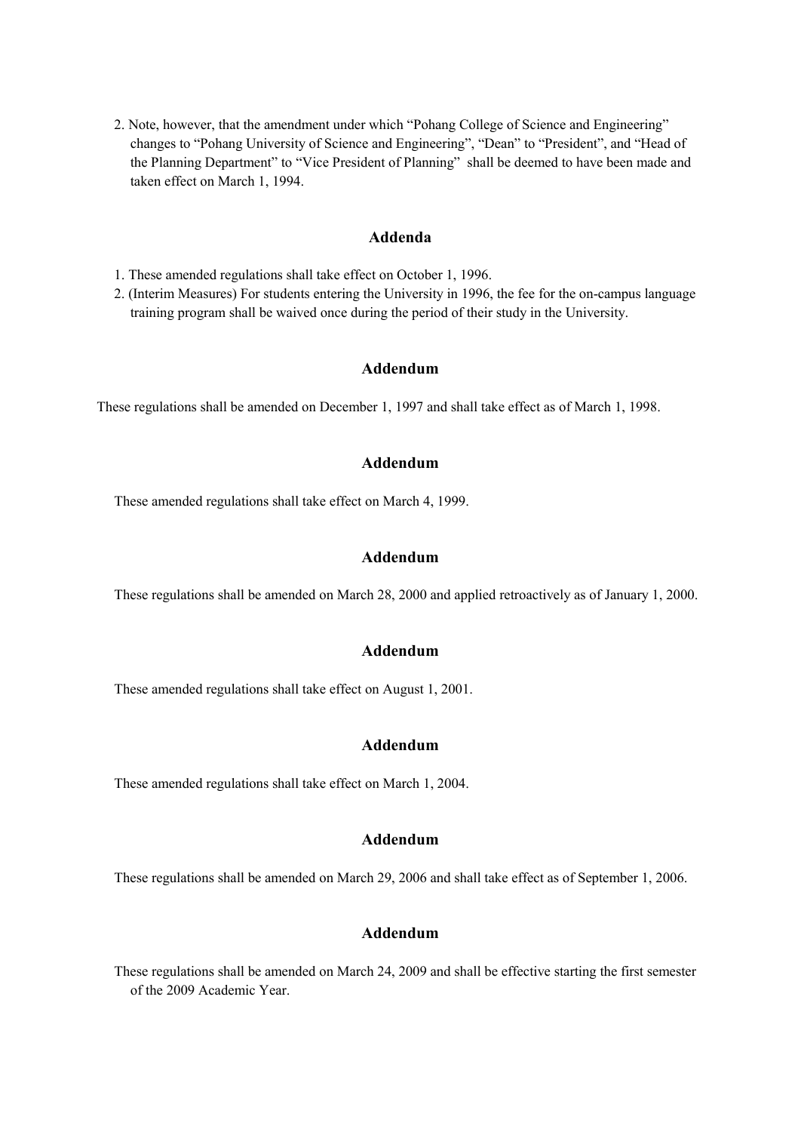2. Note, however, that the amendment under which "Pohang College of Science and Engineering" changes to "Pohang University of Science and Engineering", "Dean" to "President", and "Head of the Planning Department" to "Vice President of Planning" shall be deemed to have been made and taken effect on March 1, 1994.

### **Addenda**

1. These amended regulations shall take effect on October 1, 1996.

2. (Interim Measures) For students entering the University in 1996, the fee for the on-campus language training program shall be waived once during the period of their study in the University.

### **Addendum**

These regulations shall be amended on December 1, 1997 and shall take effect as of March 1, 1998.

### **Addendum**

These amended regulations shall take effect on March 4, 1999.

#### **Addendum**

These regulations shall be amended on March 28, 2000 and applied retroactively as of January 1, 2000.

### **Addendum**

These amended regulations shall take effect on August 1, 2001.

#### **Addendum**

These amended regulations shall take effect on March 1, 2004.

### **Addendum**

These regulations shall be amended on March 29, 2006 and shall take effect as of September 1, 2006.

### **Addendum**

These regulations shall be amended on March 24, 2009 and shall be effective starting the first semester of the 2009 Academic Year.